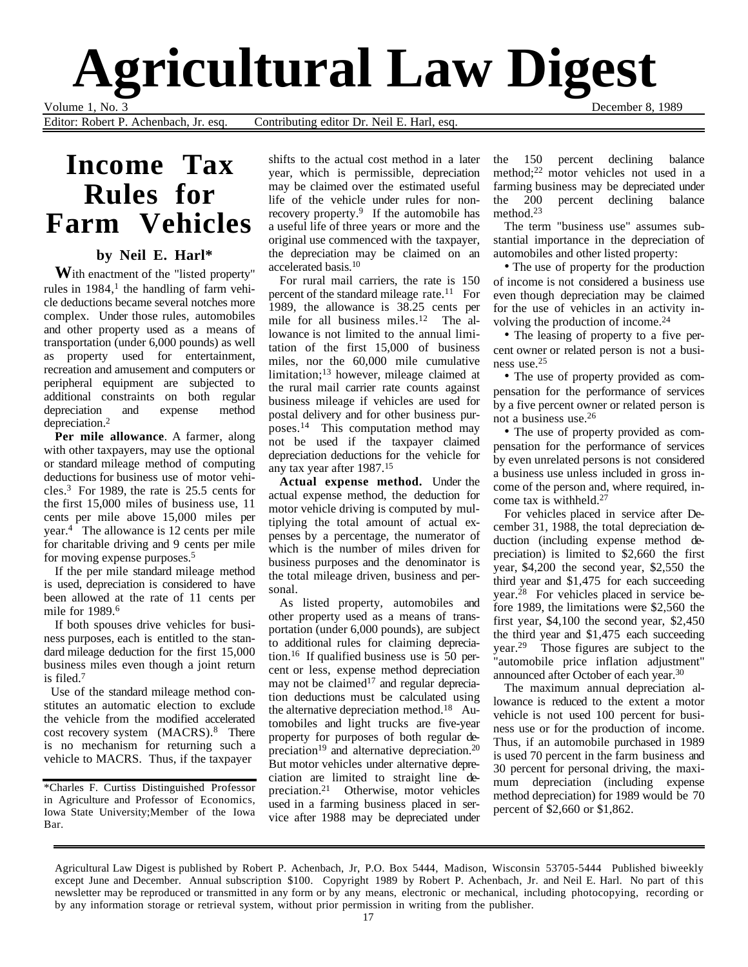# **Agricultural Law Digest**

Volume 1, No. 3<br>Editor: Robert P. Achenbach, Jr. esq. Contributing editor Dr. Neil E. Harl, esq. December 8, 1989 Contributing editor Dr. Neil E. Harl, esq.

# **Income Tax Rules for Farm Vehicles**

### **by Neil E. Harl\***

**W**ith enactment of the "listed property" rules in  $1984$ ,<sup>1</sup> the handling of farm vehicle deductions became several notches more complex. Under those rules, automobiles and other property used as a means of transportation (under 6,000 pounds) as well as property used for entertainment, recreation and amusement and computers or peripheral equipment are subjected to additional constraints on both regular depreciation and expense method depreciation.2

**Per mile allowance**. A farmer, along with other taxpayers, may use the optional or standard mileage method of computing deductions for business use of motor vehicles.3 For 1989, the rate is 25.5 cents for the first 15,000 miles of business use, 11 cents per mile above 15,000 miles per year.4 The allowance is 12 cents per mile for charitable driving and 9 cents per mile for moving expense purposes.5

If the per mile standard mileage method is used, depreciation is considered to have been allowed at the rate of 11 cents per mile for 1989.6

If both spouses drive vehicles for business purposes, each is entitled to the standard mileage deduction for the first 15,000 business miles even though a joint return is filed.7

 Use of the standard mileage method constitutes an automatic election to exclude the vehicle from the modified accelerated cost recovery system (MACRS).<sup>8</sup> There is no mechanism for returning such a vehicle to MACRS. Thus, if the taxpayer

\*Charles F. Curtiss Distinguished Professor in Agriculture and Professor of Economics, Iowa State University;Member of the Iowa Bar.

shifts to the actual cost method in a later year, which is permissible, depreciation may be claimed over the estimated useful life of the vehicle under rules for nonrecovery property.<sup>9</sup> If the automobile has a useful life of three years or more and the original use commenced with the taxpayer, the depreciation may be claimed on an accelerated basis.10

For rural mail carriers, the rate is 150 percent of the standard mileage rate.<sup>11</sup> For 1989, the allowance is 38.25 cents per mile for all business miles.<sup>12</sup> The allowance is not limited to the annual limitation of the first 15,000 of business miles, nor the 60,000 mile cumulative limitation;13 however, mileage claimed at the rural mail carrier rate counts against business mileage if vehicles are used for postal delivery and for other business purposes.14 This computation method may not be used if the taxpayer claimed depreciation deductions for the vehicle for any tax year after 1987.15

**Actual expense method.** Under the actual expense method, the deduction for motor vehicle driving is computed by multiplying the total amount of actual expenses by a percentage, the numerator of which is the number of miles driven for business purposes and the denominator is the total mileage driven, business and personal.

As listed property, automobiles and other property used as a means of transportation (under 6,000 pounds), are subject to additional rules for claiming depreciation.16 If qualified business use is 50 percent or less, expense method depreciation may not be claimed<sup>17</sup> and regular depreciation deductions must be calculated using the alternative depreciation method.<sup>18</sup> Automobiles and light trucks are five-year property for purposes of both regular depreciation<sup>19</sup> and alternative depreciation.<sup>20</sup> But motor vehicles under alternative depreciation are limited to straight line depreciation.21 Otherwise, motor vehicles used in a farming business placed in service after 1988 may be depreciated under

the 150 percent declining balance method;22 motor vehicles not used in a farming business may be depreciated under the 200 percent declining balance method.23

The term "business use" assumes substantial importance in the depreciation of automobiles and other listed property:

• The use of property for the production of income is not considered a business use even though depreciation may be claimed for the use of vehicles in an activity involving the production of income.24

• The leasing of property to a five percent owner or related person is not a business use.25

• The use of property provided as compensation for the performance of services by a five percent owner or related person is not a business use.26

• The use of property provided as compensation for the performance of services by even unrelated persons is not considered a business use unless included in gross income of the person and, where required, income tax is withheld.27

For vehicles placed in service after December 31, 1988, the total depreciation deduction (including expense method depreciation) is limited to \$2,660 the first year, \$4,200 the second year, \$2,550 the third year and \$1,475 for each succeeding year.28 For vehicles placed in service before 1989, the limitations were \$2,560 the first year, \$4,100 the second year, \$2,450 the third year and \$1,475 each succeeding year.29 Those figures are subject to the "automobile price inflation adjustment" announced after October of each year.30

The maximum annual depreciation allowance is reduced to the extent a motor vehicle is not used 100 percent for business use or for the production of income. Thus, if an automobile purchased in 1989 is used 70 percent in the farm business and 30 percent for personal driving, the maximum depreciation (including expense method depreciation) for 1989 would be 70 percent of \$2,660 or \$1,862.

Agricultural Law Digest is published by Robert P. Achenbach, Jr, P.O. Box 5444, Madison, Wisconsin 53705-5444 Published biweekly except June and December. Annual subscription \$100. Copyright 1989 by Robert P. Achenbach, Jr. and Neil E. Harl. No part of this newsletter may be reproduced or transmitted in any form or by any means, electronic or mechanical, including photocopying, recording or by any information storage or retrieval system, without prior permission in writing from the publisher.